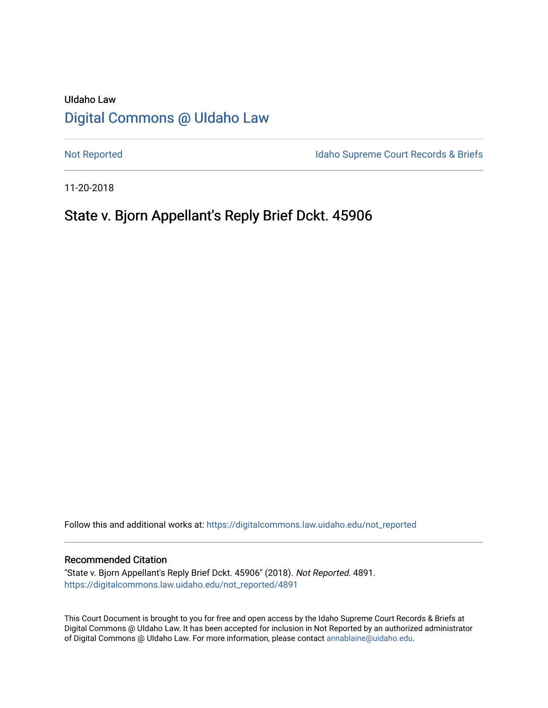# UIdaho Law [Digital Commons @ UIdaho Law](https://digitalcommons.law.uidaho.edu/)

[Not Reported](https://digitalcommons.law.uidaho.edu/not_reported) **Idaho Supreme Court Records & Briefs** 

11-20-2018

# State v. Bjorn Appellant's Reply Brief Dckt. 45906

Follow this and additional works at: [https://digitalcommons.law.uidaho.edu/not\\_reported](https://digitalcommons.law.uidaho.edu/not_reported?utm_source=digitalcommons.law.uidaho.edu%2Fnot_reported%2F4891&utm_medium=PDF&utm_campaign=PDFCoverPages) 

#### Recommended Citation

"State v. Bjorn Appellant's Reply Brief Dckt. 45906" (2018). Not Reported. 4891. [https://digitalcommons.law.uidaho.edu/not\\_reported/4891](https://digitalcommons.law.uidaho.edu/not_reported/4891?utm_source=digitalcommons.law.uidaho.edu%2Fnot_reported%2F4891&utm_medium=PDF&utm_campaign=PDFCoverPages)

This Court Document is brought to you for free and open access by the Idaho Supreme Court Records & Briefs at Digital Commons @ UIdaho Law. It has been accepted for inclusion in Not Reported by an authorized administrator of Digital Commons @ UIdaho Law. For more information, please contact [annablaine@uidaho.edu](mailto:annablaine@uidaho.edu).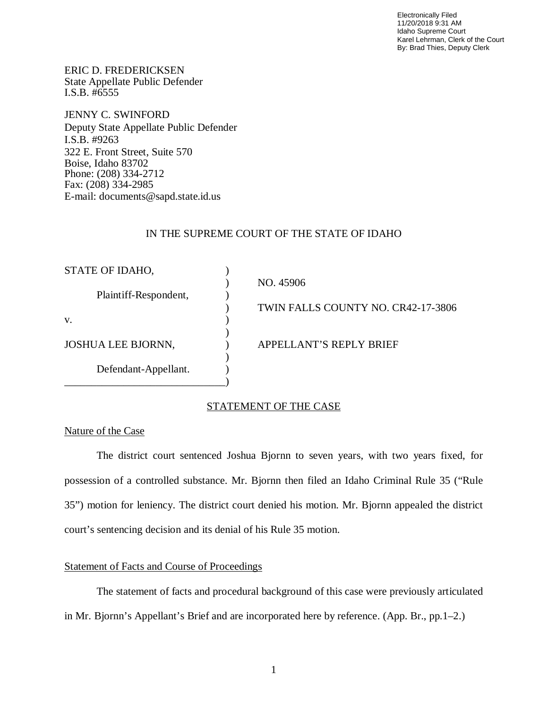Electronically Filed 11/20/2018 9:31 AM Idaho Supreme Court Karel Lehrman, Clerk of the Court By: Brad Thies, Deputy Clerk

ERIC D. FREDERICKSEN State Appellate Public Defender I.S.B. #6555

JENNY C. SWINFORD Deputy State Appellate Public Defender I.S.B. #9263 322 E. Front Street, Suite 570 Boise, Idaho 83702 Phone: (208) 334-2712 Fax: (208) 334-2985 E-mail: documents@sapd.state.id.us

### IN THE SUPREME COURT OF THE STATE OF IDAHO

| STATE OF IDAHO,           |                                    |
|---------------------------|------------------------------------|
|                           | NO. 45906                          |
| Plaintiff-Respondent,     |                                    |
|                           | TWIN FALLS COUNTY NO. CR42-17-3806 |
| V.                        |                                    |
|                           |                                    |
| <b>JOSHUA LEE BJORNN,</b> | APPELLANT'S REPLY BRIEF            |
|                           |                                    |
| Defendant-Appellant.      |                                    |
|                           |                                    |

# STATEMENT OF THE CASE

### Nature of the Case

The district court sentenced Joshua Bjornn to seven years, with two years fixed, for possession of a controlled substance. Mr. Bjornn then filed an Idaho Criminal Rule 35 ("Rule 35") motion for leniency. The district court denied his motion. Mr. Bjornn appealed the district court's sentencing decision and its denial of his Rule 35 motion.

# Statement of Facts and Course of Proceedings

The statement of facts and procedural background of this case were previously articulated in Mr. Bjornn's Appellant's Brief and are incorporated here by reference. (App. Br., pp.1–2.)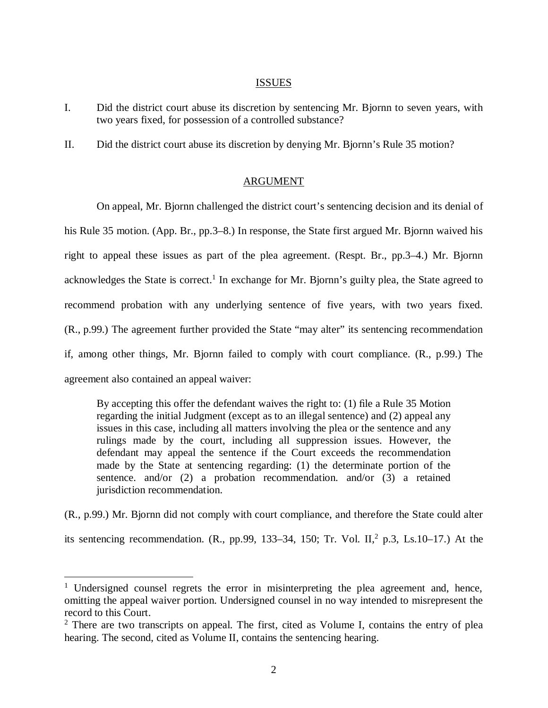#### ISSUES

- I. Did the district court abuse its discretion by sentencing Mr. Bjornn to seven years, with two years fixed, for possession of a controlled substance?
- II. Did the district court abuse its discretion by denying Mr. Bjornn's Rule 35 motion?

## ARGUMENT

On appeal, Mr. Bjornn challenged the district court's sentencing decision and its denial of his Rule 35 motion. (App. Br., pp.3–8.) In response, the State first argued Mr. Bjornn waived his right to appeal these issues as part of the plea agreement. (Respt. Br., pp.3–4.) Mr. Bjornn acknowledges the State is correct.<sup>[1](#page-2-0)</sup> In exchange for Mr. Bjornn's guilty plea, the State agreed to recommend probation with any underlying sentence of five years, with two years fixed. (R., p.99.) The agreement further provided the State "may alter" its sentencing recommendation if, among other things, Mr. Bjornn failed to comply with court compliance. (R., p.99.) The agreement also contained an appeal waiver:

By accepting this offer the defendant waives the right to: (1) file a Rule 35 Motion regarding the initial Judgment (except as to an illegal sentence) and (2) appeal any issues in this case, including all matters involving the plea or the sentence and any rulings made by the court, including all suppression issues. However, the defendant may appeal the sentence if the Court exceeds the recommendation made by the State at sentencing regarding: (1) the determinate portion of the sentence. and/or (2) a probation recommendation. and/or (3) a retained jurisdiction recommendation.

(R., p.99.) Mr. Bjornn did not comply with court compliance, and therefore the State could alter its sentencing recommendation. (R., pp.99, 133–34, 150; Tr. Vol. II,<sup>[2](#page-2-1)</sup> p.3, Ls.10–17.) At the

<span id="page-2-0"></span><sup>&</sup>lt;sup>1</sup> Undersigned counsel regrets the error in misinterpreting the plea agreement and, hence, omitting the appeal waiver portion. Undersigned counsel in no way intended to misrepresent the record to this Court.

<span id="page-2-1"></span> $2$  There are two transcripts on appeal. The first, cited as Volume I, contains the entry of plea hearing. The second, cited as Volume II, contains the sentencing hearing.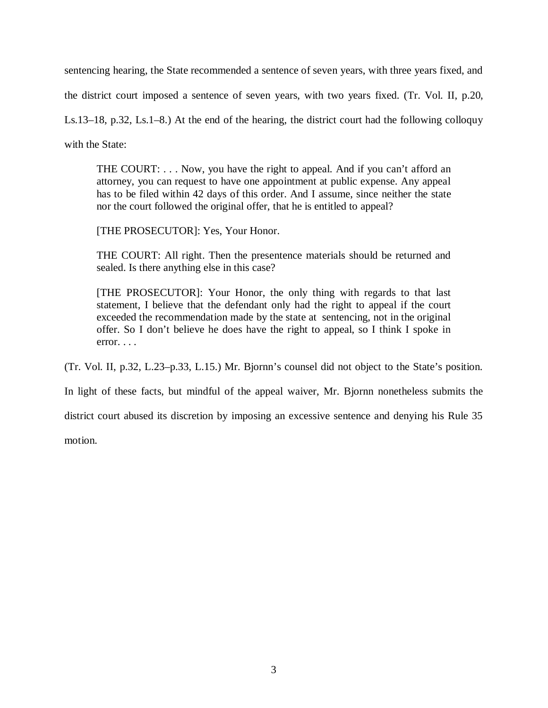sentencing hearing, the State recommended a sentence of seven years, with three years fixed, and

the district court imposed a sentence of seven years, with two years fixed. (Tr. Vol. II, p.20,

Ls.13–18, p.32, Ls.1–8.) At the end of the hearing, the district court had the following colloquy

with the State:

THE COURT: . . . Now, you have the right to appeal. And if you can't afford an attorney, you can request to have one appointment at public expense. Any appeal has to be filed within 42 days of this order. And I assume, since neither the state nor the court followed the original offer, that he is entitled to appeal?

[THE PROSECUTOR]: Yes, Your Honor.

THE COURT: All right. Then the presentence materials should be returned and sealed. Is there anything else in this case?

[THE PROSECUTOR]: Your Honor, the only thing with regards to that last statement, I believe that the defendant only had the right to appeal if the court exceeded the recommendation made by the state at sentencing, not in the original offer. So I don't believe he does have the right to appeal, so I think I spoke in  $error. \ldots$ 

(Tr. Vol. II, p.32, L.23–p.33, L.15.) Mr. Bjornn's counsel did not object to the State's position.

In light of these facts, but mindful of the appeal waiver, Mr. Bjornn nonetheless submits the

district court abused its discretion by imposing an excessive sentence and denying his Rule 35

motion.